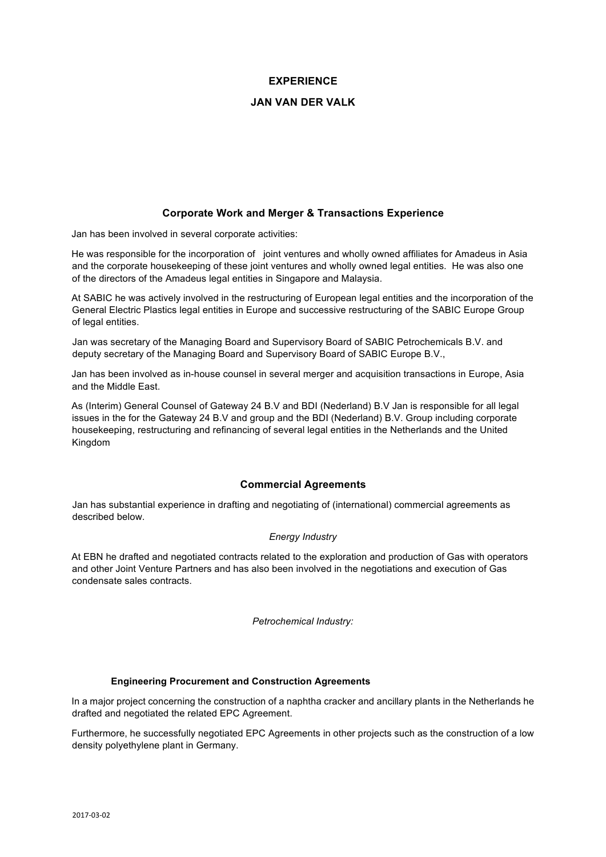# **EXPERIENCE**

# **JAN VAN DER VALK**

# **Corporate Work and Merger & Transactions Experience**

Jan has been involved in several corporate activities:

He was responsible for the incorporation of joint ventures and wholly owned affiliates for Amadeus in Asia and the corporate housekeeping of these joint ventures and wholly owned legal entities. He was also one of the directors of the Amadeus legal entities in Singapore and Malaysia.

At SABIC he was actively involved in the restructuring of European legal entities and the incorporation of the General Electric Plastics legal entities in Europe and successive restructuring of the SABIC Europe Group of legal entities.

Jan was secretary of the Managing Board and Supervisory Board of SABIC Petrochemicals B.V. and deputy secretary of the Managing Board and Supervisory Board of SABIC Europe B.V.,

Jan has been involved as in-house counsel in several merger and acquisition transactions in Europe, Asia and the Middle East.

As (Interim) General Counsel of Gateway 24 B.V and BDI (Nederland) B.V Jan is responsible for all legal issues in the for the Gateway 24 B.V and group and the BDI (Nederland) B.V. Group including corporate housekeeping, restructuring and refinancing of several legal entities in the Netherlands and the United Kingdom

## **Commercial Agreements**

Jan has substantial experience in drafting and negotiating of (international) commercial agreements as described below.

## *Energy Industry*

At EBN he drafted and negotiated contracts related to the exploration and production of Gas with operators and other Joint Venture Partners and has also been involved in the negotiations and execution of Gas condensate sales contracts.

*Petrochemical Industry:*

## **Engineering Procurement and Construction Agreements**

In a major project concerning the construction of a naphtha cracker and ancillary plants in the Netherlands he drafted and negotiated the related EPC Agreement.

Furthermore, he successfully negotiated EPC Agreements in other projects such as the construction of a low density polyethylene plant in Germany.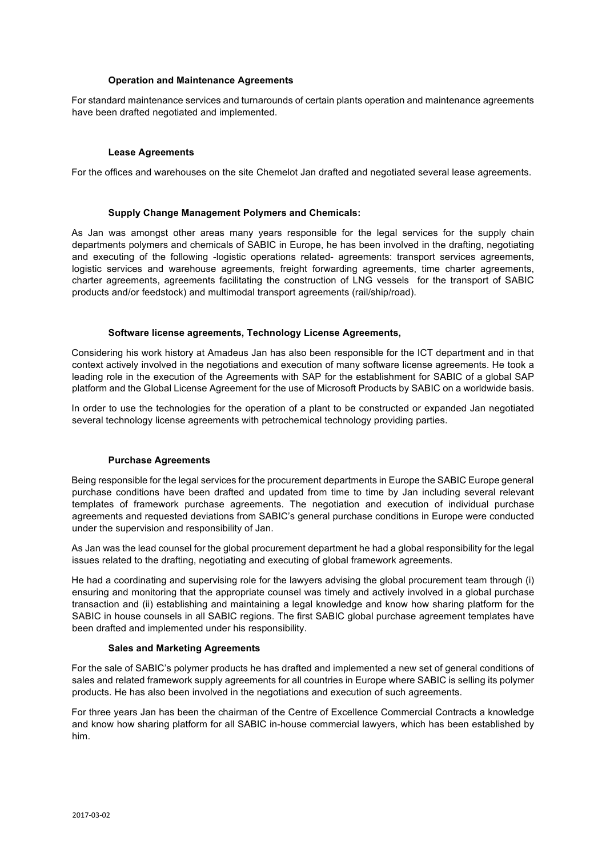#### **Operation and Maintenance Agreements**

For standard maintenance services and turnarounds of certain plants operation and maintenance agreements have been drafted negotiated and implemented.

### **Lease Agreements**

For the offices and warehouses on the site Chemelot Jan drafted and negotiated several lease agreements.

#### **Supply Change Management Polymers and Chemicals:**

As Jan was amongst other areas many years responsible for the legal services for the supply chain departments polymers and chemicals of SABIC in Europe, he has been involved in the drafting, negotiating and executing of the following -logistic operations related- agreements: transport services agreements, logistic services and warehouse agreements, freight forwarding agreements, time charter agreements, charter agreements, agreements facilitating the construction of LNG vessels for the transport of SABIC products and/or feedstock) and multimodal transport agreements (rail/ship/road).

### **Software license agreements, Technology License Agreements,**

Considering his work history at Amadeus Jan has also been responsible for the ICT department and in that context actively involved in the negotiations and execution of many software license agreements. He took a leading role in the execution of the Agreements with SAP for the establishment for SABIC of a global SAP platform and the Global License Agreement for the use of Microsoft Products by SABIC on a worldwide basis.

In order to use the technologies for the operation of a plant to be constructed or expanded Jan negotiated several technology license agreements with petrochemical technology providing parties.

## **Purchase Agreements**

Being responsible for the legal services for the procurement departments in Europe the SABIC Europe general purchase conditions have been drafted and updated from time to time by Jan including several relevant templates of framework purchase agreements. The negotiation and execution of individual purchase agreements and requested deviations from SABIC's general purchase conditions in Europe were conducted under the supervision and responsibility of Jan.

As Jan was the lead counsel for the global procurement department he had a global responsibility for the legal issues related to the drafting, negotiating and executing of global framework agreements.

He had a coordinating and supervising role for the lawyers advising the global procurement team through (i) ensuring and monitoring that the appropriate counsel was timely and actively involved in a global purchase transaction and (ii) establishing and maintaining a legal knowledge and know how sharing platform for the SABIC in house counsels in all SABIC regions. The first SABIC global purchase agreement templates have been drafted and implemented under his responsibility.

#### **Sales and Marketing Agreements**

For the sale of SABIC's polymer products he has drafted and implemented a new set of general conditions of sales and related framework supply agreements for all countries in Europe where SABIC is selling its polymer products. He has also been involved in the negotiations and execution of such agreements.

For three years Jan has been the chairman of the Centre of Excellence Commercial Contracts a knowledge and know how sharing platform for all SABIC in-house commercial lawyers, which has been established by him.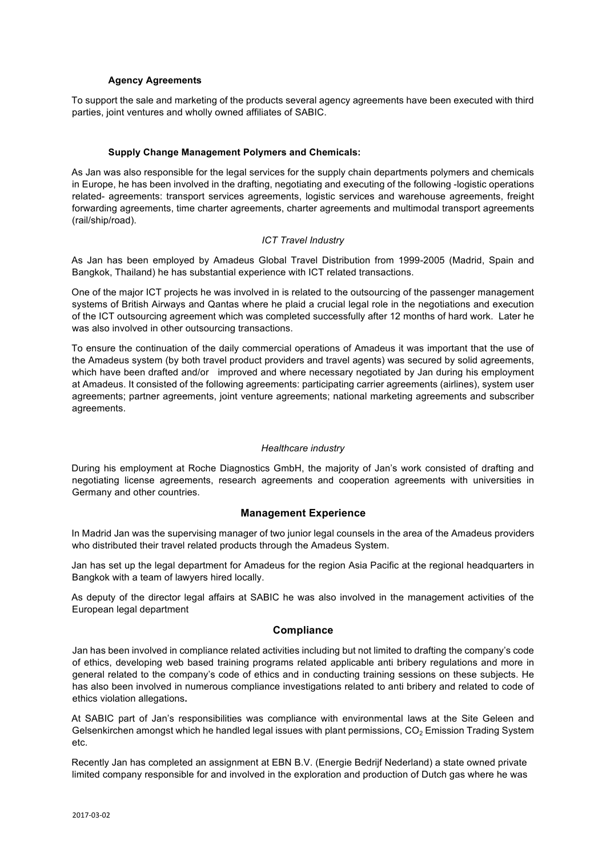### **Agency Agreements**

To support the sale and marketing of the products several agency agreements have been executed with third parties, joint ventures and wholly owned affiliates of SABIC.

### **Supply Change Management Polymers and Chemicals:**

As Jan was also responsible for the legal services for the supply chain departments polymers and chemicals in Europe, he has been involved in the drafting, negotiating and executing of the following -logistic operations related- agreements: transport services agreements, logistic services and warehouse agreements, freight forwarding agreements, time charter agreements, charter agreements and multimodal transport agreements (rail/ship/road).

## *ICT Travel Industry*

As Jan has been employed by Amadeus Global Travel Distribution from 1999-2005 (Madrid, Spain and Bangkok, Thailand) he has substantial experience with ICT related transactions.

One of the major ICT projects he was involved in is related to the outsourcing of the passenger management systems of British Airways and Qantas where he plaid a crucial legal role in the negotiations and execution of the ICT outsourcing agreement which was completed successfully after 12 months of hard work. Later he was also involved in other outsourcing transactions.

To ensure the continuation of the daily commercial operations of Amadeus it was important that the use of the Amadeus system (by both travel product providers and travel agents) was secured by solid agreements, which have been drafted and/or improved and where necessary negotiated by Jan during his employment at Amadeus. It consisted of the following agreements: participating carrier agreements (airlines), system user agreements; partner agreements, joint venture agreements; national marketing agreements and subscriber agreements.

#### *Healthcare industry*

During his employment at Roche Diagnostics GmbH, the majority of Jan's work consisted of drafting and negotiating license agreements, research agreements and cooperation agreements with universities in Germany and other countries.

## **Management Experience**

In Madrid Jan was the supervising manager of two junior legal counsels in the area of the Amadeus providers who distributed their travel related products through the Amadeus System.

Jan has set up the legal department for Amadeus for the region Asia Pacific at the regional headquarters in Bangkok with a team of lawyers hired locally.

As deputy of the director legal affairs at SABIC he was also involved in the management activities of the European legal department

# **Compliance**

Jan has been involved in compliance related activities including but not limited to drafting the company's code of ethics, developing web based training programs related applicable anti bribery regulations and more in general related to the company's code of ethics and in conducting training sessions on these subjects. He has also been involved in numerous compliance investigations related to anti bribery and related to code of ethics violation allegations**.** 

At SABIC part of Jan's responsibilities was compliance with environmental laws at the Site Geleen and Gelsenkirchen amongst which he handled legal issues with plant permissions,  $CO<sub>2</sub>$  Emission Trading System etc.

Recently Jan has completed an assignment at EBN B.V. (Energie Bedrijf Nederland) a state owned private limited company responsible for and involved in the exploration and production of Dutch gas where he was